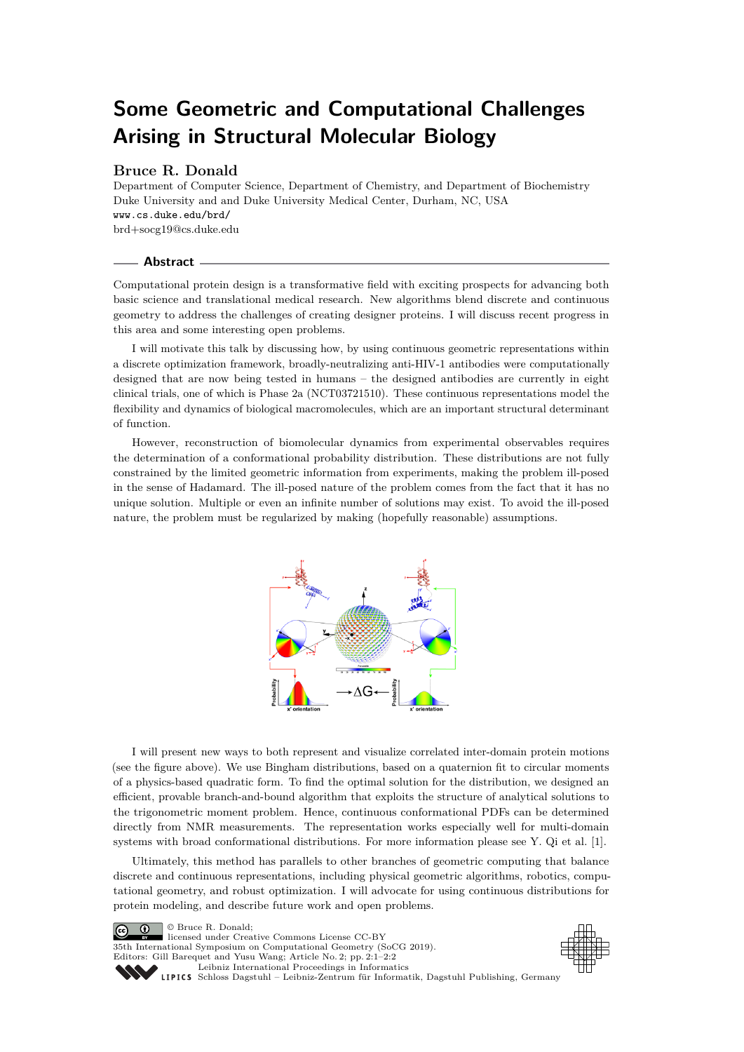# <span id="page-0-0"></span>**Some Geometric and Computational Challenges Arising in Structural Molecular Biology**

## **Bruce R. Donald**

Department of Computer Science, Department of Chemistry, and Department of Biochemistry Duke University and and Duke University Medical Center, Durham, NC, USA <www.cs.duke.edu/brd/> [brd+socg19@cs.duke.edu](mailto:brd+socg19@cs.duke.edu)

#### **Abstract**

Computational protein design is a transformative field with exciting prospects for advancing both basic science and translational medical research. New algorithms blend discrete and continuous geometry to address the challenges of creating designer proteins. I will discuss recent progress in this area and some interesting open problems.

I will motivate this talk by discussing how, by using continuous geometric representations within a discrete optimization framework, broadly-neutralizing anti-HIV-1 antibodies were computationally designed that are now being tested in humans – the designed antibodies are currently in eight clinical trials, one of which is Phase 2a (NCT03721510). These continuous representations model the flexibility and dynamics of biological macromolecules, which are an important structural determinant of function.

However, reconstruction of biomolecular dynamics from experimental observables requires the determination of a conformational probability distribution. These distributions are not fully constrained by the limited geometric information from experiments, making the problem ill-posed in the sense of Hadamard. The ill-posed nature of the problem comes from the fact that it has no unique solution. Multiple or even an infinite number of solutions may exist. To avoid the ill-posed nature, the problem must be regularized by making (hopefully reasonable) assumptions.



I will present new ways to both represent and visualize correlated inter-domain protein motions (see the figure above). We use Bingham distributions, based on a quaternion fit to circular moments of a physics-based quadratic form. To find the optimal solution for the distribution, we designed an efficient, provable branch-and-bound algorithm that exploits the structure of analytical solutions to the trigonometric moment problem. Hence, continuous conformational PDFs can be determined directly from NMR measurements. The representation works especially well for multi-domain systems with broad conformational distributions. For more information please see Y. Qi et al. [\[1\]](#page-1-0).

Ultimately, this method has parallels to other branches of geometric computing that balance discrete and continuous representations, including physical geometric algorithms, robotics, computational geometry, and robust optimization. I will advocate for using continuous distributions for protein modeling, and describe future work and open problems.

© Bruce R. Donald;  $\boxed{6}$ licensed under Creative Commons License CC-BY 35th International Symposium on Computational Geometry (SoCG 2019). Editors: Gill Barequet and Yusu Wang; Article No. 2; pp. 2:1–2[:2](#page-1-1) [Leibniz International Proceedings in Informatics](https://www.dagstuhl.de/lipics/)



[Schloss Dagstuhl – Leibniz-Zentrum für Informatik, Dagstuhl Publishing, Germany](https://www.dagstuhl.de)